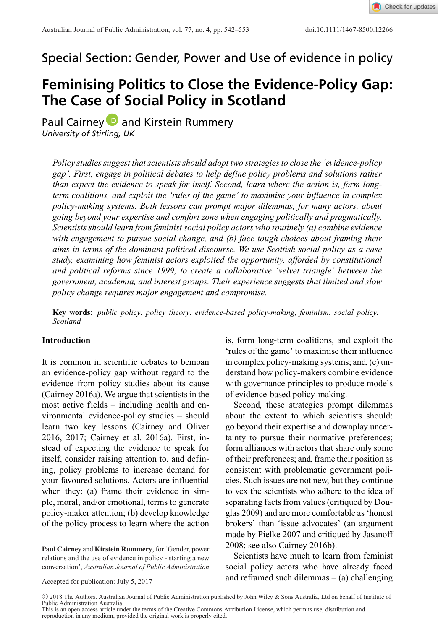## Special Section: Gender, Power and Use of evidence in policy

# **Feminising Politics to Close the Evidence-Policy Gap: The Case of Social Policy in Scotland**

Paul Cairney **D** and Kirstein Rummery *University of Stirling, UK*

*Policy studies suggest that scientists should adopt two strategies to close the 'evidence-policy gap'. First, engage in political debates to help define policy problems and solutions rather than expect the evidence to speak for itself. Second, learn where the action is, form longterm coalitions, and exploit the 'rules of the game' to maximise your influence in complex policy-making systems. Both lessons can prompt major dilemmas, for many actors, about going beyond your expertise and comfort zone when engaging politically and pragmatically. Scientists should learn from feminist social policy actors who routinely (a) combine evidence with engagement to pursue social change, and (b) face tough choices about framing their aims in terms of the dominant political discourse. We use Scottish social policy as a case study, examining how feminist actors exploited the opportunity, afforded by constitutional and political reforms since 1999, to create a collaborative 'velvet triangle' between the government, academia, and interest groups. Their experience suggests that limited and slow policy change requires major engagement and compromise.*

**Key words:** *public policy*, *policy theory*, *evidence-based policy-making*, *feminism*, *social policy*, *Scotland*

#### **Introduction**

It is common in scientific debates to bemoan an evidence-policy gap without regard to the evidence from policy studies about its cause (Cairney 2016a). We argue that scientists in the most active fields – including health and environmental evidence-policy studies – should learn two key lessons (Cairney and Oliver 2016, 2017; Cairney et al. 2016a). First, instead of expecting the evidence to speak for itself, consider raising attention to, and defining, policy problems to increase demand for your favoured solutions. Actors are influential when they: (a) frame their evidence in simple, moral, and/or emotional, terms to generate policy-maker attention; (b) develop knowledge of the policy process to learn where the action

**Paul Cairney** and **Kirstein Rummery**, for 'Gender, power relations and the use of evidence in policy - starting a new conversation', *Australian Journal of Public Administration*

is, form long-term coalitions, and exploit the 'rules of the game' to maximise their influence in complex policy-making systems; and, (c) understand how policy-makers combine evidence with governance principles to produce models of evidence-based policy-making.

Second, these strategies prompt dilemmas about the extent to which scientists should: go beyond their expertise and downplay uncertainty to pursue their normative preferences; form alliances with actors that share only some of their preferences; and, frame their position as consistent with problematic government policies. Such issues are not new, but they continue to vex the scientists who adhere to the idea of separating facts from values (critiqued by Douglas 2009) and are more comfortable as 'honest brokers' than 'issue advocates' (an argument made by Pielke 2007 and critiqued by Jasanoff 2008; see also Cairney 2016b).

Scientists have much to learn from feminist social policy actors who have already faced and reframed such dilemmas  $-$  (a) challenging

Accepted for publication: July 5, 2017

-<sup>C</sup> 2018 The Authors. Australian Journal of Public Administration published by John Wiley & Sons Australia, Ltd on behalf of Institute of Public Administration Australia

This is an open access article under the terms of the [Creative Commons Attribution](http://creativecommons.org/licenses/by/4.0/) License, which permits use, distribution and reproduction in any medium, provided the original work is properly cited.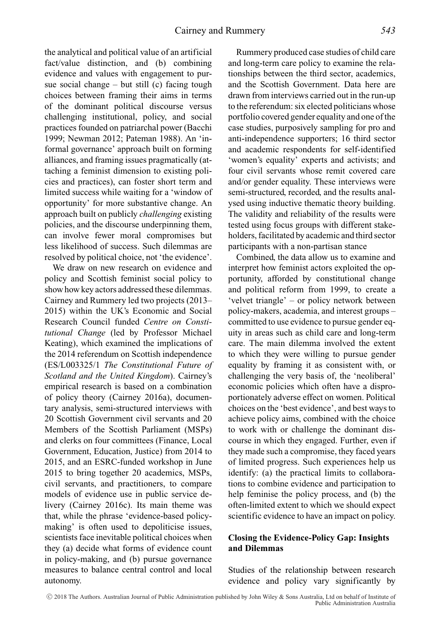the analytical and political value of an artificial fact/value distinction, and (b) combining evidence and values with engagement to pursue social change – but still (c) facing tough choices between framing their aims in terms of the dominant political discourse versus challenging institutional, policy, and social practices founded on patriarchal power (Bacchi 1999; Newman 2012; Pateman 1988). An 'informal governance' approach built on forming alliances, and framing issues pragmatically (attaching a feminist dimension to existing policies and practices), can foster short term and limited success while waiting for a 'window of opportunity' for more substantive change. An approach built on publicly *challenging* existing policies, and the discourse underpinning them, can involve fewer moral compromises but less likelihood of success. Such dilemmas are resolved by political choice, not 'the evidence'.

We draw on new research on evidence and policy and Scottish feminist social policy to show how key actors addressed these dilemmas. Cairney and Rummery led two projects (2013– 2015) within the UK's Economic and Social Research Council funded *Centre on Constitutional Change* (led by Professor Michael Keating), which examined the implications of the 2014 referendum on Scottish independence (ES/L003325/1 *The Constitutional Future of Scotland and the United Kingdom*). Cairney's empirical research is based on a combination of policy theory (Cairney 2016a), documentary analysis, semi-structured interviews with 20 Scottish Government civil servants and 20 Members of the Scottish Parliament (MSPs) and clerks on four committees (Finance, Local Government, Education, Justice) from 2014 to 2015, and an ESRC-funded workshop in June 2015 to bring together 20 academics, MSPs, civil servants, and practitioners, to compare models of evidence use in public service delivery (Cairney 2016c). Its main theme was that, while the phrase 'evidence-based policymaking' is often used to depoliticise issues, scientists face inevitable political choices when they (a) decide what forms of evidence count in policy-making, and (b) pursue governance measures to balance central control and local autonomy.

Rummery produced case studies of child care and long-term care policy to examine the relationships between the third sector, academics, and the Scottish Government. Data here are drawn from interviews carried out in the run-up to the referendum: six elected politicians whose portfolio covered gender equality and one of the case studies, purposively sampling for pro and anti-independence supporters; 16 third sector and academic respondents for self-identified 'women's equality' experts and activists; and four civil servants whose remit covered care and/or gender equality. These interviews were semi-structured, recorded, and the results analysed using inductive thematic theory building. The validity and reliability of the results were tested using focus groups with different stakeholders, facilitated by academic and third sector participants with a non-partisan stance

Combined, the data allow us to examine and interpret how feminist actors exploited the opportunity, afforded by constitutional change and political reform from 1999, to create a 'velvet triangle' – or policy network between policy-makers, academia, and interest groups – committed to use evidence to pursue gender equity in areas such as child care and long-term care. The main dilemma involved the extent to which they were willing to pursue gender equality by framing it as consistent with, or challenging the very basis of, the 'neoliberal' economic policies which often have a disproportionately adverse effect on women. Political choices on the 'best evidence', and best ways to achieve policy aims, combined with the choice to work with or challenge the dominant discourse in which they engaged. Further, even if they made such a compromise, they faced years of limited progress. Such experiences help us identify: (a) the practical limits to collaborations to combine evidence and participation to help feminise the policy process, and (b) the often-limited extent to which we should expect scientific evidence to have an impact on policy.

#### **Closing the Evidence-Policy Gap: Insights and Dilemmas**

Studies of the relationship between research evidence and policy vary significantly by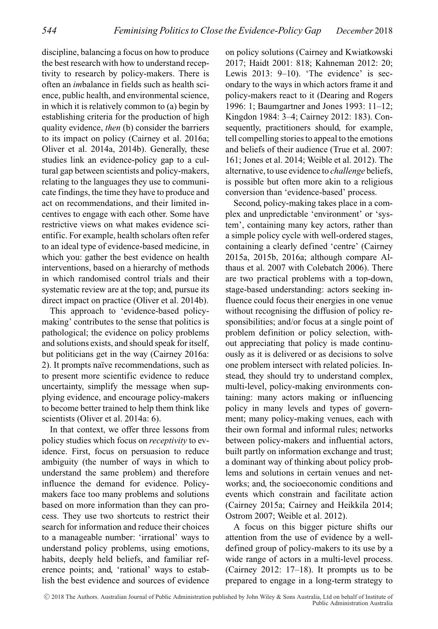discipline, balancing a focus on how to produce the best research with how to understand receptivity to research by policy-makers. There is often an *im*balance in fields such as health science, public health, and environmental science, in which it is relatively common to (a) begin by establishing criteria for the production of high quality evidence, *then* (b) consider the barriers to its impact on policy (Cairney et al. 2016a; Oliver et al. 2014a, 2014b). Generally, these studies link an evidence-policy gap to a cultural gap between scientists and policy-makers, relating to the languages they use to communicate findings, the time they have to produce and act on recommendations, and their limited incentives to engage with each other. Some have restrictive views on what makes evidence scientific. For example, health scholars often refer to an ideal type of evidence-based medicine, in which you: gather the best evidence on health interventions, based on a hierarchy of methods in which randomised control trials and their systematic review are at the top; and, pursue its direct impact on practice (Oliver et al. 2014b).

This approach to 'evidence-based policymaking' contributes to the sense that politics is pathological; the evidence on policy problems and solutions exists, and should speak for itself, but politicians get in the way (Cairney 2016a: 2). It prompts naïve recommendations, such as to present more scientific evidence to reduce uncertainty, simplify the message when supplying evidence, and encourage policy-makers to become better trained to help them think like scientists (Oliver et al. 2014a: 6).

In that context, we offer three lessons from policy studies which focus on *receptivity* to evidence. First, focus on persuasion to reduce ambiguity (the number of ways in which to understand the same problem) and therefore influence the demand for evidence. Policymakers face too many problems and solutions based on more information than they can process. They use two shortcuts to restrict their search for information and reduce their choices to a manageable number: 'irrational' ways to understand policy problems, using emotions, habits, deeply held beliefs, and familiar reference points; and, 'rational' ways to establish the best evidence and sources of evidence

on policy solutions (Cairney and Kwiatkowski 2017; Haidt 2001: 818; Kahneman 2012: 20; Lewis 2013: 9–10). 'The evidence' is secondary to the ways in which actors frame it and policy-makers react to it (Dearing and Rogers 1996: 1; Baumgartner and Jones 1993: 11–12; Kingdon 1984: 3–4; Cairney 2012: 183). Consequently, practitioners should, for example, tell compelling stories to appeal to the emotions and beliefs of their audience (True et al. 2007: 161; Jones et al. 2014; Weible et al. 2012). The alternative, to use evidence to *challenge* beliefs, is possible but often more akin to a religious conversion than 'evidence-based' process.

Second, policy-making takes place in a complex and unpredictable 'environment' or 'system', containing many key actors, rather than a simple policy cycle with well-ordered stages, containing a clearly defined 'centre' (Cairney 2015a, 2015b, 2016a; although compare Althaus et al. 2007 with Colebatch 2006). There are two practical problems with a top-down, stage-based understanding: actors seeking influence could focus their energies in one venue without recognising the diffusion of policy responsibilities; and/or focus at a single point of problem definition or policy selection, without appreciating that policy is made continuously as it is delivered or as decisions to solve one problem intersect with related policies. Instead, they should try to understand complex, multi-level, policy-making environments containing: many actors making or influencing policy in many levels and types of government; many policy-making venues, each with their own formal and informal rules; networks between policy-makers and influential actors, built partly on information exchange and trust; a dominant way of thinking about policy problems and solutions in certain venues and networks; and, the socioeconomic conditions and events which constrain and facilitate action (Cairney 2015a; Cairney and Heikkila 2014; Ostrom 2007; Weible et al. 2012).

A focus on this bigger picture shifts our attention from the use of evidence by a welldefined group of policy-makers to its use by a wide range of actors in a multi-level process. (Cairney 2012: 17–18). It prompts us to be prepared to engage in a long-term strategy to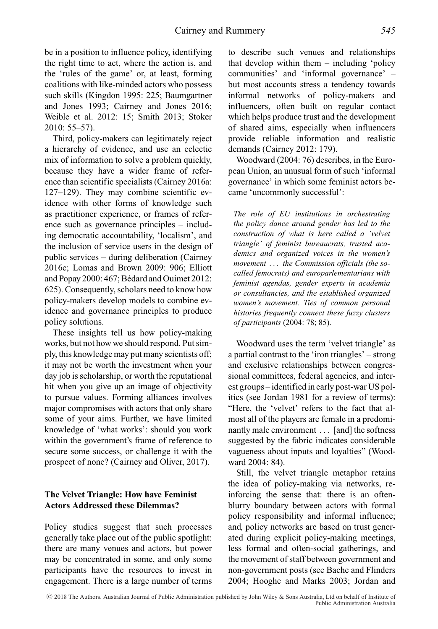be in a position to influence policy, identifying the right time to act, where the action is, and the 'rules of the game' or, at least, forming coalitions with like-minded actors who possess such skills (Kingdon 1995: 225; Baumgartner and Jones 1993; Cairney and Jones 2016; Weible et al. 2012: 15; Smith 2013; Stoker 2010: 55–57).

Third, policy-makers can legitimately reject a hierarchy of evidence, and use an eclectic mix of information to solve a problem quickly, because they have a wider frame of reference than scientific specialists (Cairney 2016a: 127–129). They may combine scientific evidence with other forms of knowledge such as practitioner experience, or frames of reference such as governance principles – including democratic accountability, 'localism', and the inclusion of service users in the design of public services – during deliberation (Cairney 2016c; Lomas and Brown 2009: 906; Elliott and Popay 2000: 467: Bédard and Ouimet 2012: 625). Consequently, scholars need to know how policy-makers develop models to combine evidence and governance principles to produce policy solutions.

These insights tell us how policy-making works, but not how we should respond. Put simply, this knowledge may put many scientists off; it may not be worth the investment when your day job is scholarship, or worth the reputational hit when you give up an image of objectivity to pursue values. Forming alliances involves major compromises with actors that only share some of your aims. Further, we have limited knowledge of 'what works': should you work within the government's frame of reference to secure some success, or challenge it with the prospect of none? (Cairney and Oliver, 2017).

#### **The Velvet Triangle: How have Feminist Actors Addressed these Dilemmas?**

Policy studies suggest that such processes generally take place out of the public spotlight: there are many venues and actors, but power may be concentrated in some, and only some participants have the resources to invest in engagement. There is a large number of terms

to describe such venues and relationships that develop within them – including 'policy communities' and 'informal governance' – but most accounts stress a tendency towards informal networks of policy-makers and influencers, often built on regular contact which helps produce trust and the development of shared aims, especially when influencers provide reliable information and realistic demands (Cairney 2012: 179).

Woodward (2004: 76) describes, in the European Union, an unusual form of such 'informal governance' in which some feminist actors became 'uncommonly successful':

*The role of EU institutions in orchestrating the policy dance around gender has led to the construction of what is here called a 'velvet triangle' of feminist bureaucrats, trusted academics and organized voices in the women's movement . . . the Commission officials (the socalled femocrats) and europarlementarians with feminist agendas, gender experts in academia or consultancies, and the established organized women's movement. Ties of common personal histories frequently connect these fuzzy clusters of participants* (2004: 78; 85).

Woodward uses the term 'velvet triangle' as a partial contrast to the 'iron triangles' – strong and exclusive relationships between congressional committees, federal agencies, and interest groups – identified in early post-war US politics (see Jordan 1981 for a review of terms): "Here, the 'velvet' refers to the fact that almost all of the players are female in a predominantly male environment . . . [and] the softness suggested by the fabric indicates considerable vagueness about inputs and loyalties" (Woodward 2004: 84).

Still, the velvet triangle metaphor retains the idea of policy-making via networks, reinforcing the sense that: there is an oftenblurry boundary between actors with formal policy responsibility and informal influence; and, policy networks are based on trust generated during explicit policy-making meetings, less formal and often-social gatherings, and the movement of staff between government and non-government posts (see Bache and Flinders 2004; Hooghe and Marks 2003; Jordan and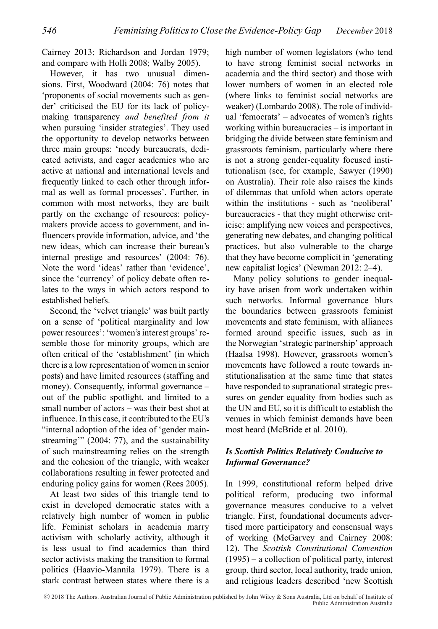Cairney 2013; Richardson and Jordan 1979; and compare with Holli 2008; Walby 2005).

However, it has two unusual dimensions. First, Woodward (2004: 76) notes that 'proponents of social movements such as gender' criticised the EU for its lack of policymaking transparency *and benefited from it* when pursuing 'insider strategies'. They used the opportunity to develop networks between three main groups: 'needy bureaucrats, dedicated activists, and eager academics who are active at national and international levels and frequently linked to each other through informal as well as formal processes'. Further, in common with most networks, they are built partly on the exchange of resources: policymakers provide access to government, and influencers provide information, advice, and 'the new ideas, which can increase their bureau's internal prestige and resources' (2004: 76). Note the word 'ideas' rather than 'evidence', since the 'currency' of policy debate often relates to the ways in which actors respond to established beliefs.

Second, the 'velvet triangle' was built partly on a sense of 'political marginality and low power resources': 'women's interest groups' resemble those for minority groups, which are often critical of the 'establishment' (in which there is a low representation of women in senior posts) and have limited resources (staffing and money). Consequently, informal governance – out of the public spotlight, and limited to a small number of actors – was their best shot at influence. In this case, it contributed to the EU's "internal adoption of the idea of 'gender mainstreaming'" (2004: 77), and the sustainability of such mainstreaming relies on the strength and the cohesion of the triangle, with weaker collaborations resulting in fewer protected and enduring policy gains for women (Rees 2005).

At least two sides of this triangle tend to exist in developed democratic states with a relatively high number of women in public life. Feminist scholars in academia marry activism with scholarly activity, although it is less usual to find academics than third sector activists making the transition to formal politics (Haavio-Mannila 1979). There is a stark contrast between states where there is a

high number of women legislators (who tend to have strong feminist social networks in academia and the third sector) and those with lower numbers of women in an elected role (where links to feminist social networks are weaker) (Lombardo 2008). The role of individual 'femocrats' – advocates of women's rights working within bureaucracies – is important in bridging the divide between state feminism and grassroots feminism, particularly where there is not a strong gender-equality focused institutionalism (see, for example, Sawyer (1990) on Australia). Their role also raises the kinds of dilemmas that unfold when actors operate within the institutions - such as 'neoliberal' bureaucracies - that they might otherwise criticise: amplifying new voices and perspectives, generating new debates, and changing political practices, but also vulnerable to the charge that they have become complicit in 'generating new capitalist logics' (Newman 2012: 2–4).

Many policy solutions to gender inequality have arisen from work undertaken within such networks. Informal governance blurs the boundaries between grassroots feminist movements and state feminism, with alliances formed around specific issues, such as in the Norwegian 'strategic partnership' approach (Haalsa 1998). However, grassroots women's movements have followed a route towards institutionalisation at the same time that states have responded to supranational strategic pressures on gender equality from bodies such as the UN and EU, so it is difficult to establish the venues in which feminist demands have been most heard (McBride et al. 2010).

#### *Is Scottish Politics Relatively Conducive to Informal Governance?*

In 1999, constitutional reform helped drive political reform, producing two informal governance measures conducive to a velvet triangle. First, foundational documents advertised more participatory and consensual ways of working (McGarvey and Cairney 2008: 12). The *Scottish Constitutional Convention* (1995) – a collection of political party, interest group, third sector, local authority, trade union, and religious leaders described 'new Scottish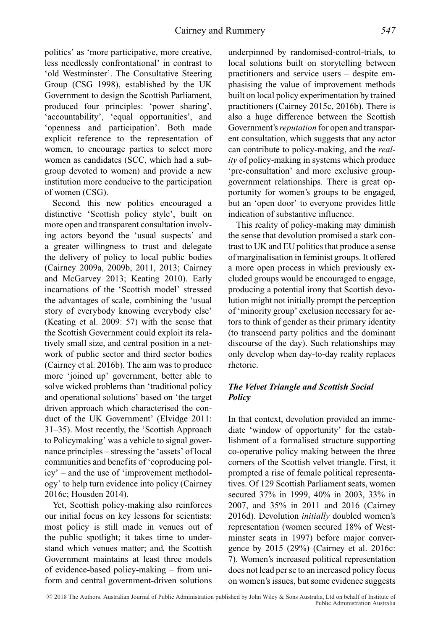politics' as 'more participative, more creative, less needlessly confrontational' in contrast to 'old Westminster'. The Consultative Steering Group (CSG 1998), established by the UK Government to design the Scottish Parliament, produced four principles: 'power sharing', 'accountability', 'equal opportunities', and 'openness and participation'. Both made explicit reference to the representation of women, to encourage parties to select more women as candidates (SCC, which had a subgroup devoted to women) and provide a new institution more conducive to the participation of women (CSG).

Second, this new politics encouraged a distinctive 'Scottish policy style', built on more open and transparent consultation involving actors beyond the 'usual suspects' and a greater willingness to trust and delegate the delivery of policy to local public bodies (Cairney 2009a, 2009b, 2011, 2013; Cairney and McGarvey 2013; Keating 2010). Early incarnations of the 'Scottish model' stressed the advantages of scale, combining the 'usual story of everybody knowing everybody else' (Keating et al. 2009: 57) with the sense that the Scottish Government could exploit its relatively small size, and central position in a network of public sector and third sector bodies (Cairney et al. 2016b). The aim was to produce more 'joined up' government, better able to solve wicked problems than 'traditional policy and operational solutions' based on 'the target driven approach which characterised the conduct of the UK Government' (Elvidge 2011: 31–35). Most recently, the 'Scottish Approach to Policymaking' was a vehicle to signal governance principles – stressing the 'assets' of local communities and benefits of 'coproducing policy' – and the use of 'improvement methodology' to help turn evidence into policy (Cairney 2016c; Housden 2014).

Yet, Scottish policy-making also reinforces our initial focus on key lessons for scientists: most policy is still made in venues out of the public spotlight; it takes time to understand which venues matter; and, the Scottish Government maintains at least three models of evidence-based policy-making – from uniform and central government-driven solutions

underpinned by randomised-control-trials, to local solutions built on storytelling between practitioners and service users – despite emphasising the value of improvement methods built on local policy experimentation by trained practitioners (Cairney 2015c, 2016b). There is also a huge difference between the Scottish Government's*reputation* for open and transparent consultation, which suggests that any actor can contribute to policy-making, and the *reality* of policy-making in systems which produce 'pre-consultation' and more exclusive groupgovernment relationships. There is great opportunity for women's groups to be engaged, but an 'open door' to everyone provides little indication of substantive influence.

This reality of policy-making may diminish the sense that devolution promised a stark contrast to UK and EU politics that produce a sense of marginalisation in feminist groups. It offered a more open process in which previously excluded groups would be encouraged to engage, producing a potential irony that Scottish devolution might not initially prompt the perception of 'minority group' exclusion necessary for actors to think of gender as their primary identity (to transcend party politics and the dominant discourse of the day). Such relationships may only develop when day-to-day reality replaces rhetoric.

## *The Velvet Triangle and Scottish Social Policy*

In that context, devolution provided an immediate 'window of opportunity' for the establishment of a formalised structure supporting co-operative policy making between the three corners of the Scottish velvet triangle. First, it prompted a rise of female political representatives. Of 129 Scottish Parliament seats, women secured 37% in 1999, 40% in 2003, 33% in 2007, and 35% in 2011 and 2016 (Cairney 2016d). Devolution *initially* doubled women's representation (women secured 18% of Westminster seats in 1997) before major convergence by 2015 (29%) (Cairney et al. 2016c: 7). Women's increased political representation does not lead per se to an increased policy focus on women's issues, but some evidence suggests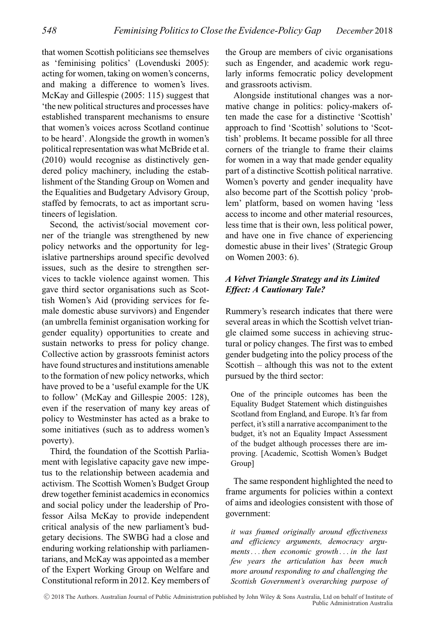that women Scottish politicians see themselves as 'feminising politics' (Lovenduski 2005): acting for women, taking on women's concerns, and making a difference to women's lives. McKay and Gillespie (2005: 115) suggest that 'the new political structures and processes have established transparent mechanisms to ensure that women's voices across Scotland continue to be heard'. Alongside the growth in women's political representation was what McBride et al. (2010) would recognise as distinctively gendered policy machinery, including the establishment of the Standing Group on Women and the Equalities and Budgetary Advisory Group, staffed by femocrats, to act as important scrutineers of legislation.

Second, the activist/social movement corner of the triangle was strengthened by new policy networks and the opportunity for legislative partnerships around specific devolved issues, such as the desire to strengthen services to tackle violence against women. This gave third sector organisations such as Scottish Women's Aid (providing services for female domestic abuse survivors) and Engender (an umbrella feminist organisation working for gender equality) opportunities to create and sustain networks to press for policy change. Collective action by grassroots feminist actors have found structures and institutions amenable to the formation of new policy networks, which have proved to be a 'useful example for the UK to follow' (McKay and Gillespie 2005: 128), even if the reservation of many key areas of policy to Westminster has acted as a brake to some initiatives (such as to address women's poverty).

Third, the foundation of the Scottish Parliament with legislative capacity gave new impetus to the relationship between academia and activism. The Scottish Women's Budget Group drew together feminist academics in economics and social policy under the leadership of Professor Ailsa McKay to provide independent critical analysis of the new parliament's budgetary decisions. The SWBG had a close and enduring working relationship with parliamentarians, and McKay was appointed as a member of the Expert Working Group on Welfare and Constitutional reform in 2012. Key members of the Group are members of civic organisations such as Engender, and academic work regularly informs femocratic policy development and grassroots activism.

Alongside institutional changes was a normative change in politics: policy-makers often made the case for a distinctive 'Scottish' approach to find 'Scottish' solutions to 'Scottish' problems. It became possible for all three corners of the triangle to frame their claims for women in a way that made gender equality part of a distinctive Scottish political narrative. Women's poverty and gender inequality have also become part of the Scottish policy 'problem' platform, based on women having 'less access to income and other material resources, less time that is their own, less political power, and have one in five chance of experiencing domestic abuse in their lives' (Strategic Group on Women 2003: 6).

### *A Velvet Triangle Strategy and its Limited Effect: A Cautionary Tale?*

Rummery's research indicates that there were several areas in which the Scottish velvet triangle claimed some success in achieving structural or policy changes. The first was to embed gender budgeting into the policy process of the Scottish – although this was not to the extent pursued by the third sector:

One of the principle outcomes has been the Equality Budget Statement which distinguishes Scotland from England, and Europe. It's far from perfect, it's still a narrative accompaniment to the budget, it's not an Equality Impact Assessment of the budget although processes there are improving. [Academic, Scottish Women's Budget Group]

The same respondent highlighted the need to frame arguments for policies within a context of aims and ideologies consistent with those of government:

*it was framed originally around effectiveness and efficiency arguments, democracy arguments . . . then economic growth . . . in the last few years the articulation has been much more around responding to and challenging the Scottish Government's overarching purpose of*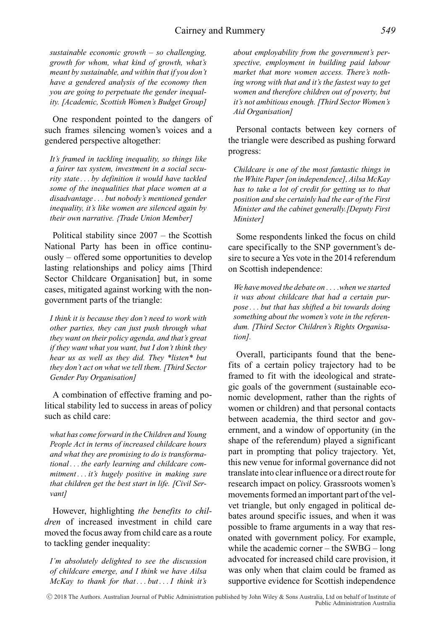*sustainable economic growth – so challenging, growth for whom, what kind of growth, what's meant by sustainable, and within that if you don't have a gendered analysis of the economy then you are going to perpetuate the gender inequality. [Academic, Scottish Women's Budget Group]*

One respondent pointed to the dangers of such frames silencing women's voices and a gendered perspective altogether:

*It's framed in tackling inequality, so things like a fairer tax system, investment in a social security state . . . by definition it would have tackled some of the inequalities that place women at a disadvantage . . . but nobody's mentioned gender inequality, it's like women are silenced again by their own narrative. {Trade Union Member]*

Political stability since 2007 – the Scottish National Party has been in office continuously – offered some opportunities to develop lasting relationships and policy aims [Third Sector Childcare Organisation] but, in some cases, mitigated against working with the nongovernment parts of the triangle:

*I think it is because they don't need to work with other parties, they can just push through what they want on their policy agenda, and that's great if they want what you want, but I don't think they hear us as well as they did. They \*listen\* but they don't act on what we tell them. [Third Sector Gender Pay Organisation]*

A combination of effective framing and political stability led to success in areas of policy such as child care:

*what has come forward in the Children and Young People Act in terms of increased childcare hours and what they are promising to do is transformational . . . the early learning and childcare commitment . . . it's hugely positive in making sure that children get the best start in life. [Civil Servant]*

However, highlighting *the benefits to children* of increased investment in child care moved the focus away from child care as a route to tackling gender inequality:

*I'm absolutely delighted to see the discussion of childcare emerge, and I think we have Ailsa McKay to thank for that . . . but . . . I think it's* *about employability from the government's perspective, employment in building paid labour market that more women access. There's nothing wrong with that and it's the fastest way to get women and therefore children out of poverty, but it's not ambitious enough. [Third Sector Women's Aid Organisation]*

Personal contacts between key corners of the triangle were described as pushing forward progress:

*Childcare is one of the most fantastic things in the White Paper [on independence], Ailsa McKay has to take a lot of credit for getting us to that position and she certainly had the ear of the First Minister and the cabinet generally.[Deputy First Minister]*

Some respondents linked the focus on child care specifically to the SNP government's desire to secure a Yes vote in the 2014 referendum on Scottish independence:

*We have moved the debate on . . . .when we started it was about childcare that had a certain purpose . . . but that has shifted a bit towards doing something about the women's vote in the referendum. [Third Sector Children's Rights Organisation].*

Overall, participants found that the benefits of a certain policy trajectory had to be framed to fit with the ideological and strategic goals of the government (sustainable economic development, rather than the rights of women or children) and that personal contacts between academia, the third sector and government, and a window of opportunity (in the shape of the referendum) played a significant part in prompting that policy trajectory. Yet, this new venue for informal governance did not translate into clear influence or a direct route for research impact on policy. Grassroots women's movements formed an important part of the velvet triangle, but only engaged in political debates around specific issues, and when it was possible to frame arguments in a way that resonated with government policy. For example, while the academic corner – the SWBG – long advocated for increased child care provision, it was only when that claim could be framed as supportive evidence for Scottish independence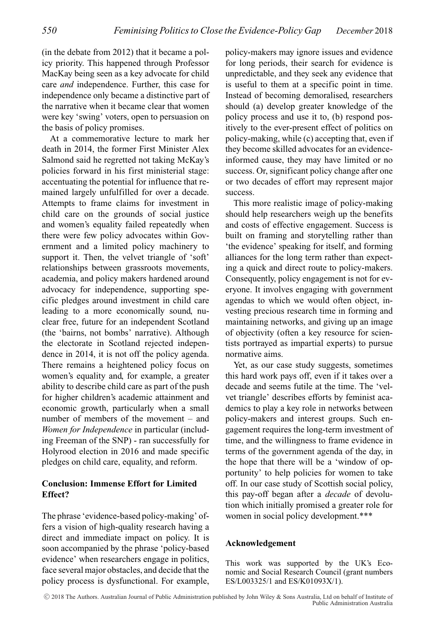(in the debate from 2012) that it became a policy priority. This happened through Professor MacKay being seen as a key advocate for child care *and* independence. Further, this case for independence only became a distinctive part of the narrative when it became clear that women were key 'swing' voters, open to persuasion on the basis of policy promises.

At a commemorative lecture to mark her death in 2014, the former First Minister Alex Salmond said he regretted not taking McKay's policies forward in his first ministerial stage: accentuating the potential for influence that remained largely unfulfilled for over a decade. Attempts to frame claims for investment in child care on the grounds of social justice and women's equality failed repeatedly when there were few policy advocates within Government and a limited policy machinery to support it. Then, the velvet triangle of 'soft' relationships between grassroots movements, academia, and policy makers hardened around advocacy for independence, supporting specific pledges around investment in child care leading to a more economically sound, nuclear free, future for an independent Scotland (the 'bairns, not bombs' narrative). Although the electorate in Scotland rejected independence in 2014, it is not off the policy agenda. There remains a heightened policy focus on women's equality and, for example, a greater ability to describe child care as part of the push for higher children's academic attainment and economic growth, particularly when a small number of members of the movement – and *Women for Independence* in particular (including Freeman of the SNP) - ran successfully for Holyrood election in 2016 and made specific pledges on child care, equality, and reform.

#### **Conclusion: Immense Effort for Limited Effect?**

The phrase 'evidence-based policy-making' offers a vision of high-quality research having a direct and immediate impact on policy. It is soon accompanied by the phrase 'policy-based evidence' when researchers engage in politics, face several major obstacles, and decide that the policy process is dysfunctional. For example,

policy-makers may ignore issues and evidence for long periods, their search for evidence is unpredictable, and they seek any evidence that is useful to them at a specific point in time. Instead of becoming demoralised, researchers should (a) develop greater knowledge of the policy process and use it to, (b) respond positively to the ever-present effect of politics on policy-making, while (c) accepting that, even if they become skilled advocates for an evidenceinformed cause, they may have limited or no success. Or, significant policy change after one or two decades of effort may represent major success.

This more realistic image of policy-making should help researchers weigh up the benefits and costs of effective engagement. Success is built on framing and storytelling rather than 'the evidence' speaking for itself, and forming alliances for the long term rather than expecting a quick and direct route to policy-makers. Consequently, policy engagement is not for everyone. It involves engaging with government agendas to which we would often object, investing precious research time in forming and maintaining networks, and giving up an image of objectivity (often a key resource for scientists portrayed as impartial experts) to pursue normative aims.

Yet, as our case study suggests, sometimes this hard work pays off, even if it takes over a decade and seems futile at the time. The 'velvet triangle' describes efforts by feminist academics to play a key role in networks between policy-makers and interest groups. Such engagement requires the long-term investment of time, and the willingness to frame evidence in terms of the government agenda of the day, in the hope that there will be a 'window of opportunity' to help policies for women to take off. In our case study of Scottish social policy, this pay-off began after a *decade* of devolution which initially promised a greater role for women in social policy development.\*\*\*

#### **Acknowledgement**

This work was supported by the UK's Economic and Social Research Council (grant numbers ES/L003325/1 and ES/K01093X/1).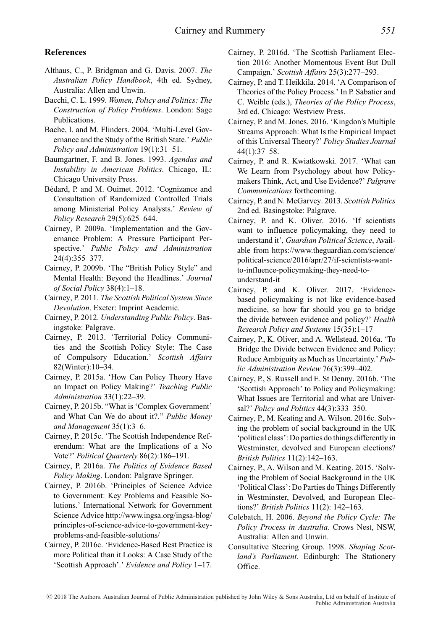#### **References**

- Althaus, C., P. Bridgman and G. Davis. 2007. *The Australian Policy Handbook*, 4th ed. Sydney, Australia: Allen and Unwin.
- Bacchi, C. L. 1999. *Women, Policy and Politics: The Construction of Policy Problems*. London: Sage Publications.
- Bache, I. and M. Flinders. 2004. 'Multi-Level Governance and the Study of the British State.' *Public Policy and Administration* 19(1):31–51.
- Baumgartner, F. and B. Jones. 1993. *Agendas and Instability in American Politics*. Chicago, IL: Chicago University Press.
- Bédard, P. and M. Ouimet. 2012. 'Cognizance and Consultation of Randomized Controlled Trials among Ministerial Policy Analysts.' *Review of Policy Research* 29(5):625–644.
- Cairney, P. 2009a. 'Implementation and the Governance Problem: A Pressure Participant Perspective.' *Public Policy and Administration* 24(4):355–377.
- Cairney, P. 2009b. 'The "British Policy Style" and Mental Health: Beyond the Headlines.' *Journal of Social Policy* 38(4):1–18.
- Cairney, P. 2011. *The Scottish Political System Since Devolution*. Exeter: Imprint Academic.
- Cairney, P. 2012. *Understanding Public Policy*. Basingstoke: Palgrave.
- Cairney, P. 2013. 'Territorial Policy Communities and the Scottish Policy Style: The Case of Compulsory Education.' *Scottish Affairs* 82(Winter):10–34.
- Cairney, P. 2015a. 'How Can Policy Theory Have an Impact on Policy Making?' *Teaching Public Administration* 33(1):22–39.
- Cairney, P. 2015b. "What is 'Complex Government' and What Can We do about it?." *Public Money and Management* 35(1):3–6.
- Cairney, P. 2015c. 'The Scottish Independence Referendum: What are the Implications of a No Vote?' *Political Quarterly* 86(2):186–191.
- Cairney, P. 2016a. *The Politics of Evidence Based Policy Making*. London: Palgrave Springer.
- Cairney, P. 2016b. 'Principles of Science Advice to Government: Key Problems and Feasible Solutions.' International Network for Government Science Advice [http://www.ingsa.org/ingsa-blog/](http://www.ingsa.org/ingsa-blog/principles-of-science-advice-to-government-key-problems-and-feasible-solutions/) [principles-of-science-advice-to-government-key](http://www.ingsa.org/ingsa-blog/principles-of-science-advice-to-government-key-problems-and-feasible-solutions/)[problems-and-feasible-solutions/](http://www.ingsa.org/ingsa-blog/principles-of-science-advice-to-government-key-problems-and-feasible-solutions/)
- Cairney, P. 2016c. 'Evidence-Based Best Practice is more Political than it Looks: A Case Study of the 'Scottish Approach'.' *Evidence and Policy* 1–17.
- Cairney, P. 2016d. 'The Scottish Parliament Election 2016: Another Momentous Event But Dull Campaign.' *Scottish Affairs* 25(3):277–293.
- Cairney, P. and T. Heikkila. 2014. 'A Comparison of Theories of the Policy Process.' In P. Sabatier and C. Weible (eds.), *Theories of the Policy Process*, 3rd ed. Chicago: Westview Press.
- Cairney, P. and M. Jones. 2016. 'Kingdon's Multiple Streams Approach: What Is the Empirical Impact of this Universal Theory?' *Policy Studies Journal* 44(1):37–58.
- Cairney, P. and R. Kwiatkowski. 2017. 'What can We Learn from Psychology about how Policymakers Think, Act, and Use Evidence?' *Palgrave Communications* forthcoming.
- Cairney, P. and N. McGarvey. 2013. *Scottish Politics* 2nd ed. Basingstoke: Palgrave.
- Cairney, P. and K. Oliver. 2016. 'If scientists want to influence policymaking, they need to understand it', *Guardian Political Science*, Available from [https://www.theguardian.com/science/](https://www.theguardian.com/science/political-science/2016/apr/27/if-scientists-want-to-influence-policymaking-they-need-to-understand-it) [political-science/2016/apr/27/if-scientists-want](https://www.theguardian.com/science/political-science/2016/apr/27/if-scientists-want-to-influence-policymaking-they-need-to-understand-it)[to-influence-policymaking-they-need-to](https://www.theguardian.com/science/political-science/2016/apr/27/if-scientists-want-to-influence-policymaking-they-need-to-understand-it)[understand-it](https://www.theguardian.com/science/political-science/2016/apr/27/if-scientists-want-to-influence-policymaking-they-need-to-understand-it)
- Cairney, P. and K. Oliver. 2017. 'Evidencebased policymaking is not like evidence-based medicine, so how far should you go to bridge the divide between evidence and policy?' *Health Research Policy and Systems* 15(35):1–17
- Cairney, P., K. Oliver, and A. Wellstead. 2016a. 'To Bridge the Divide between Evidence and Policy: Reduce Ambiguity as Much as Uncertainty.' *Public Administration Review* 76(3):399–402.
- Cairney, P., S. Russell and E. St Denny. 2016b. 'The 'Scottish Approach' to Policy and Policymaking: What Issues are Territorial and what are Universal?' *Policy and Politics* 44(3):333–350.
- Cairney, P., M. Keating and A. Wilson. 2016c. Solving the problem of social background in the UK 'political class': Do parties do things differently in Westminster, devolved and European elections? *British Politics* 11(2):142–163.
- Cairney, P., A. Wilson and M. Keating. 2015. 'Solving the Problem of Social Background in the UK 'Political Class': Do Parties do Things Differently in Westminster, Devolved, and European Elections?' *British Politics* 11(2): 142–163.
- Colebatch, H. 2006. *Beyond the Policy Cycle: The Policy Process in Australia*. Crows Nest, NSW, Australia: Allen and Unwin.
- Consultative Steering Group. 1998. *Shaping Scotland's Parliament*. Edinburgh: The Stationery Office.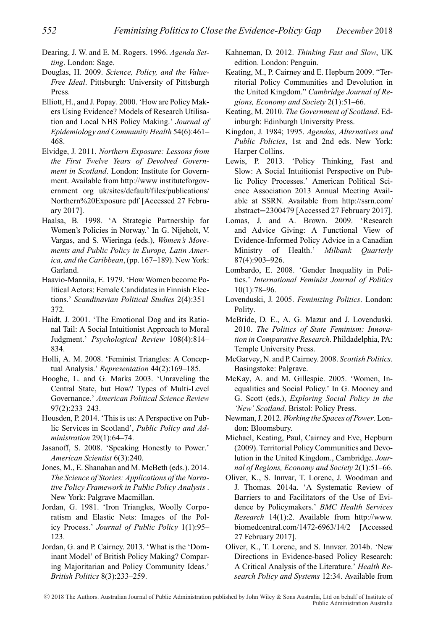- Dearing, J. W. and E. M. Rogers. 1996. *Agenda Setting*. London: Sage.
- Douglas, H. 2009. *Science, Policy, and the Value-Free Ideal*. Pittsburgh: University of Pittsburgh Press.
- Elliott, H., and J. Popay. 2000. 'How are Policy Makers Using Evidence? Models of Research Utilisation and Local NHS Policy Making.' *Journal of Epidemiology and Community Health* 54(6):461– 468.
- Elvidge, J. 2011. *Northern Exposure: Lessons from the First Twelve Years of Devolved Government in Scotland*. London: Institute for Government. Available from [http://www instituteforgov](http://wwwinstituteforgovernmentorguk/sites/default/files/publications/Northern%20Exposurepdf)[ernment org uk/sites/default/files/publications/](http://wwwinstituteforgovernmentorguk/sites/default/files/publications/Northern%20Exposurepdf) [Northern%20Exposure pdf](http://wwwinstituteforgovernmentorguk/sites/default/files/publications/Northern%20Exposurepdf) [Accessed 27 February 2017].
- Haalsa, B. 1998. 'A Strategic Partnership for Women's Policies in Norway.' In G. Nijeholt, V. Vargas, and S. Wieringa (eds.), *Women's Movements and Public Policy in Europe, Latin America, and the Caribbean*, (pp. 167–189). New York: Garland.
- Haavio-Mannila, E. 1979. 'How Women become Political Actors: Female Candidates in Finnish Elections.' *Scandinavian Political Studies* 2(4):351– 372.
- Haidt, J. 2001. 'The Emotional Dog and its Rational Tail: A Social Intuitionist Approach to Moral Judgment.' *Psychological Review* 108(4):814– 834.
- Holli, A. M. 2008. 'Feminist Triangles: A Conceptual Analysis.' *Representation* 44(2):169–185.
- Hooghe, L. and G. Marks 2003. 'Unraveling the Central State, but How? Types of Multi-Level Governance.' *American Political Science Review* 97(2):233–243.
- Housden, P. 2014. 'This is us: A Perspective on Public Services in Scotland', *Public Policy and Administration* 29(1):64–74.
- Jasanoff, S. 2008. 'Speaking Honestly to Power.' *American Scientist* 6(3):240.
- Jones, M., E. Shanahan and M. McBeth (eds.). 2014. *The Science of Stories: Applications of the Narrative Policy Framework in Public Policy Analysis* . New York: Palgrave Macmillan.
- Jordan, G. 1981. 'Iron Triangles, Woolly Corporatism and Elastic Nets: Images of the Policy Process.' *Journal of Public Policy* 1(1):95– 123.
- Jordan, G. and P. Cairney. 2013. 'What is the 'Dominant Model' of British Policy Making? Comparing Majoritarian and Policy Community Ideas.' *British Politics* 8(3):233–259.
- Kahneman, D. 2012. *Thinking Fast and Slow*, UK edition. London: Penguin.
- Keating, M., P. Cairney and E. Hepburn 2009. "Territorial Policy Communities and Devolution in the United Kingdom." *Cambridge Journal of Regions, Economy and Society* 2(1):51–66.
- Keating, M. 2010. *The Government of Scotland*. Edinburgh: Edinburgh University Press.
- Kingdon, J. 1984; 1995. *Agendas, Alternatives and Public Policies*, 1st and 2nd eds. New York: Harper Collins.
- Lewis, P. 2013. 'Policy Thinking, Fast and Slow: A Social Intuitionist Perspective on Public Policy Processes.' American Political Science Association 2013 Annual Meeting Available at SSRN. Available from [http://ssrn.com/](http://ssrn.com/abstract=2300479) abstract=[2300479](http://ssrn.com/abstract=2300479) [Accessed 27 February 2017].
- Lomas, J. and A. Brown. 2009. 'Research and Advice Giving: A Functional View of Evidence-Informed Policy Advice in a Canadian Ministry of Health.' *Milbank Quarterly* 87(4):903–926.
- Lombardo, E. 2008. 'Gender Inequality in Politics.' *International Feminist Journal of Politics* 10(1):78–96.
- Lovenduski, J. 2005. *Feminizing Politics*. London: Polity.
- McBride, D. E., A. G. Mazur and J. Lovenduski. 2010. *The Politics of State Feminism: Innovation in Comparative Research*. Phildadelphia, PA: Temple University Press.
- McGarvey, N. and P. Cairney. 2008. *Scottish Politics*. Basingstoke: Palgrave.
- McKay, A. and M. Gillespie. 2005. 'Women, Inequalities and Social Policy.' In G. Mooney and G. Scott (eds.), *Exploring Social Policy in the 'New' Scotland*. Bristol: Policy Press.
- Newman, J. 2012. *Working the Spaces of Power*. London: Bloomsbury.
- Michael, Keating, Paul, Cairney and Eve, Hepburn (2009). Territorial Policy Communities and Devolution in the United Kingdom., Cambridge. *Journal of Regions, Economy and Society* 2(1):51–66.
- Oliver, K., S. Innvar, T. Lorenc, J. Woodman and J. Thomas. 2014a. 'A Systematic Review of Barriers to and Facilitators of the Use of Evidence by Policymakers.' *BMC Health Services Research* 14(1):2. Available from [http://www.](http://www.biomedcentral.com/1472-6963/14/2) [biomedcentral.com/1472-6963/14/2](http://www.biomedcentral.com/1472-6963/14/2) [Accessed 27 February 2017].
- Oliver, K., T. Lorenc, and S. Innvær. 2014b. 'New Directions in Evidence-based Policy Research: A Critical Analysis of the Literature.' *Health Research Policy and Systems* 12:34. Available from